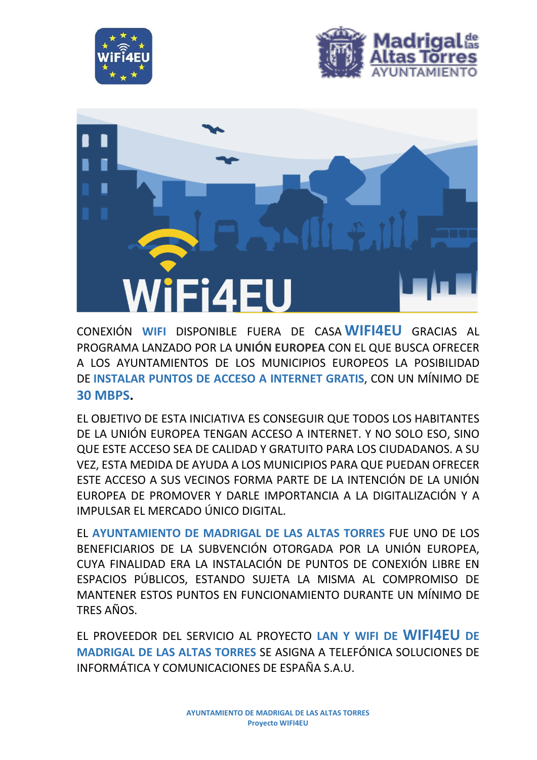





CONEXIÓN **WIFI** DISPONIBLE FUERA DE CASA **[WIFI4EU](https://ec.europa.eu/digital-single-market/en/wifi4eu-wifi-gratis-para-los-europeos)** GRACIAS AL PROGRAMA LANZADO POR LA **UNIÓN EUROPEA** CON EL QUE BUSCA OFRECER A LOS AYUNTAMIENTOS DE LOS MUNICIPIOS EUROPEOS LA POSIBILIDAD DE **INSTALAR PUNTOS DE ACCESO A INTERNET GRATIS**, CON UN MÍNIMO DE **30 MBPS.**

EL OBJETIVO DE ESTA INICIATIVA ES CONSEGUIR QUE TODOS LOS HABITANTES DE LA UNIÓN EUROPEA TENGAN ACCESO A INTERNET. Y NO SOLO ESO, SINO QUE ESTE ACCESO SEA DE CALIDAD Y GRATUITO PARA LOS CIUDADANOS. A SU VEZ, ESTA MEDIDA DE AYUDA A LOS MUNICIPIOS PARA QUE PUEDAN OFRECER ESTE ACCESO A SUS VECINOS FORMA PARTE DE LA INTENCIÓN DE LA UNIÓN EUROPEA DE PROMOVER Y DARLE IMPORTANCIA A LA DIGITALIZACIÓN Y A IMPULSAR EL [MERCADO ÚNICO DIGITAL.](https://ec.europa.eu/spain/news/20190131_Without-borders-or-tariffs-25-years-of-Single-Market-for-Europeans_es)

EL **AYUNTAMIENTO DE MADRIGAL DE LAS ALTAS TORRES** FUE UNO DE LOS BENEFICIARIOS DE LA SUBVENCIÓN OTORGADA POR LA UNIÓN EUROPEA, CUYA FINALIDAD ERA LA INSTALACIÓN DE PUNTOS DE CONEXIÓN LIBRE EN ESPACIOS PÚBLICOS, ESTANDO SUJETA LA MISMA AL COMPROMISO DE MANTENER ESTOS PUNTOS EN FUNCIONAMIENTO DURANTE UN MÍNIMO DE TRES AÑOS.

EL PROVEEDOR DEL SERVICIO AL PROYECTO **LAN Y WIFI DE WIFI4EU DE MADRIGAL DE LAS ALTAS TORRES** SE ASIGNA A TELEFÓNICA SOLUCIONES DE INFORMÁTICA Y COMUNICACIONES DE ESPAÑA S.A.U.